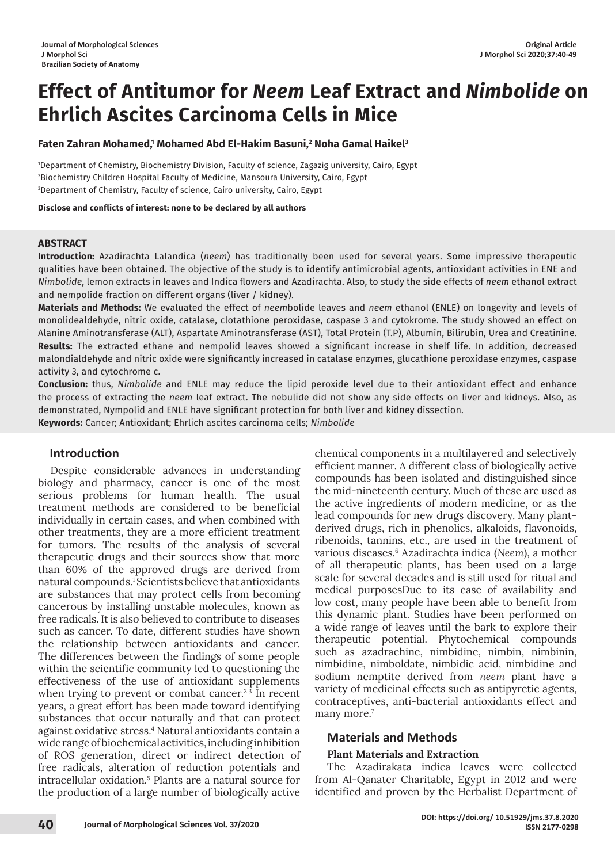# **Effect of Antitumor for** *Neem* **Leaf Extract and** *Nimbolide* **on Ehrlich Ascites Carcinoma Cells in Mice**

# **Faten Zahran Mohamed,1 Mohamed Abd El-Hakim Basuni,2 Noha Gamal Haikel3**

1 Department of Chemistry, Biochemistry Division, Faculty of science, Zagazig university, Cairo, Egypt 2 Biochemistry Children Hospital Faculty of Medicine, Mansoura University, Cairo, Egypt 3 Department of Chemistry, Faculty of science, Cairo university, Cairo, Egypt

**Disclose and conflicts of interest: none to be declared by all authors**

# **ABSTRACT**

**Introduction:** Azadirachta Lalandica (*neem*) has traditionally been used for several years. Some impressive therapeutic qualities have been obtained. The objective of the study is to identify antimicrobial agents, antioxidant activities in ENE and *Nimbolide*, lemon extracts in leaves and Indica flowers and Azadirachta. Also, to study the side effects of *neem* ethanol extract and nempolide fraction on different organs (liver / kidney).

**Materials and Methods:** We evaluated the effect of *neem*bolide leaves and *neem* ethanol (ENLE) on longevity and levels of monolidealdehyde, nitric oxide, catalase, clotathione peroxidase, caspase 3 and cytokrome. The study showed an effect on Alanine Aminotransferase (ALT), Aspartate Aminotransferase (AST), Total Protein (T.P), Albumin, Bilirubin, Urea and Creatinine. **Results:** The extracted ethane and nempolid leaves showed a significant increase in shelf life. In addition, decreased malondialdehyde and nitric oxide were significantly increased in catalase enzymes, glucathione peroxidase enzymes, caspase activity 3, and cytochrome c.

**Conclusion:** thus, *Nimbolide* and ENLE may reduce the lipid peroxide level due to their antioxidant effect and enhance the process of extracting the *neem* leaf extract. The nebulide did not show any side effects on liver and kidneys. Also, as demonstrated, Nympolid and ENLE have significant protection for both liver and kidney dissection.

**Keywords:** Cancer; Antioxidant; Ehrlich ascites carcinoma cells; *Nimbolide*

# **Introduction**

Despite considerable advances in understanding biology and pharmacy, cancer is one of the most serious problems for human health. The usual treatment methods are considered to be beneficial individually in certain cases, and when combined with other treatments, they are a more efficient treatment for tumors. The results of the analysis of several therapeutic drugs and their sources show that more than 60% of the approved drugs are derived from natural compounds.1 Scientists believe that antioxidants are substances that may protect cells from becoming cancerous by installing unstable molecules, known as free radicals. It is also believed to contribute to diseases such as cancer. To date, different studies have shown the relationship between antioxidants and cancer. The differences between the findings of some people within the scientific community led to questioning the effectiveness of the use of antioxidant supplements when trying to prevent or combat cancer.<sup>2,3</sup> In recent years, a great effort has been made toward identifying substances that occur naturally and that can protect against oxidative stress.4 Natural antioxidants contain a wide range of biochemical activities, including inhibition of ROS generation, direct or indirect detection of free radicals, alteration of reduction potentials and intracellular oxidation.5 Plants are a natural source for the production of a large number of biologically active

chemical components in a multilayered and selectively efficient manner. A different class of biologically active compounds has been isolated and distinguished since the mid-nineteenth century. Much of these are used as the active ingredients of modern medicine, or as the lead compounds for new drugs discovery. Many plantderived drugs, rich in phenolics, alkaloids, flavonoids, ribenoids, tannins, etc., are used in the treatment of various diseases.6 Azadirachta indica (*Neem*), a mother of all therapeutic plants, has been used on a large scale for several decades and is still used for ritual and medical purposesDue to its ease of availability and low cost, many people have been able to benefit from this dynamic plant. Studies have been performed on a wide range of leaves until the bark to explore their therapeutic potential. Phytochemical compounds such as azadrachine, nimbidine, nimbin, nimbinin, nimbidine, nimboldate, nimbidic acid, nimbidine and sodium nemptite derived from *neem* plant have a variety of medicinal effects such as antipyretic agents, contraceptives, anti-bacterial antioxidants effect and many more.<sup>7</sup>

# **Materials and Methods**

# **Plant Materials and Extraction**

The Azadirakata indica leaves were collected from Al-Qanater Charitable, Egypt in 2012 and were identified and proven by the Herbalist Department of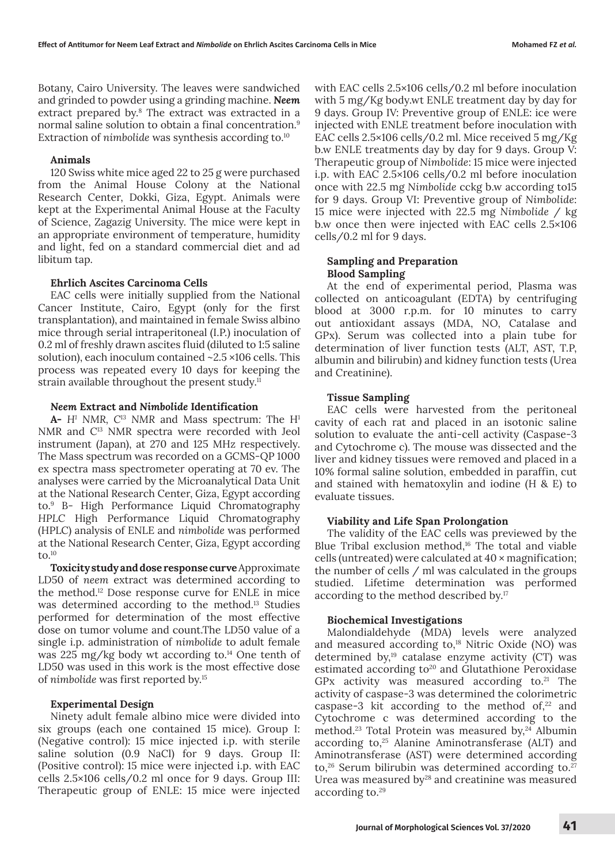Botany, Cairo University. The leaves were sandwiched and grinded to powder using a grinding machine. *Neem* extract prepared by.<sup>8</sup> The extract was extracted in a normal saline solution to obtain a final concentration.<sup>9</sup> Extraction of *nimbolide* was synthesis according to.<sup>10</sup>

## **Animals**

120 Swiss white mice aged 22 to 25 g were purchased from the Animal House Colony at the National Research Center, Dokki, Giza, Egypt. Animals were kept at the Experimental Animal House at the Faculty of Science, Zagazig University. The mice were kept in an appropriate environment of temperature, humidity and light, fed on a standard commercial diet and ad libitum tap.

# **Ehrlich Ascites Carcinoma Cells**

EAC cells were initially supplied from the National Cancer Institute, Cairo, Egypt (only for the first transplantation), and maintained in female Swiss albino mice through serial intraperitoneal (I.P.) inoculation of 0.2 ml of freshly drawn ascites fluid (diluted to 1:5 saline solution), each inoculum contained ~2.5 ×106 cells. This process was repeated every 10 days for keeping the strain available throughout the present study.<sup>11</sup>

#### *Neem* **Extract and** *Nimbolide* **Identification**

**A-** *H1 NMR, C13 NMR* and Mass spectrum*:* The H1 NMR and C13 NMR spectra were recorded with Jeol instrument (Japan), at 270 and 125 MHz respectively. The Mass spectrum was recorded on a GCMS-QP 1000 ex spectra mass spectrometer operating at 70 ev. The analyses were carried by the Microanalytical Data Unit at the National Research Center, Giza, Egypt according to.9 B- High Performance Liquid Chromatography *HPLC* High Performance Liquid Chromatography (HPLC) analysis of ENLE and *nimbolide* was performed at the National Research Center, Giza, Egypt according to. $10$ 

**Toxicity study and dose response curve** Approximate LD50 of *neem* extract was determined according to the method.12 Dose response curve for ENLE in mice was determined according to the method.13 Studies performed for determination of the most effective dose on tumor volume and count.The LD50 value of a single i.p. administration of *nimbolide* to adult female was 225 mg/kg body wt according to. $14$  One tenth of LD50 was used in this work is the most effective dose of *nimbolide* was first reported by.15

## **Experimental Design**

Ninety adult female albino mice were divided into six groups (each one contained 15 mice). Group I: (Negative control): 15 mice injected i.p. with sterile saline solution (0.9 NaCl) for 9 days. Group II: (Positive control): 15 mice were injected i.p. with EAC cells 2.5×106 cells/0.2 ml once for 9 days. Group III: Therapeutic group of ENLE: 15 mice were injected

with EAC cells 2.5×106 cells/0.2 ml before inoculation with 5 mg/Kg body.wt ENLE treatment day by day for 9 days. Group IV: Preventive group of ENLE: ice were injected with ENLE treatment before inoculation with EAC cells 2.5×106 cells/0.2 ml. Mice received 5 mg/Kg b.w ENLE treatments day by day for 9 days. Group V: Therapeutic group of *Nimbolide*: 15 mice were injected i.p. with EAC 2.5×106 cells/0.2 ml before inoculation once with 22.5 mg *Nimbolide* cckg b.w according to15 for 9 days. Group VI: Preventive group of *Nimbolide*: 15 mice were injected with 22.5 mg *Nimbolide* / kg b.w once then were injected with EAC cells 2.5×106 cells/0.2 ml for 9 days.

# **Sampling and Preparation Blood Sampling**

At the end of experimental period, Plasma was collected on anticoagulant (EDTA) by centrifuging blood at 3000 r.p.m. for 10 minutes to carry out antioxidant assays (MDA, NO, Catalase and GPx). Serum was collected into a plain tube for determination of liver function tests (ALT, AST, T.P, albumin and bilirubin) and kidney function tests (Urea and Creatinine).

## **Tissue Sampling**

EAC cells were harvested from the peritoneal cavity of each rat and placed in an isotonic saline solution to evaluate the anti-cell activity (Caspase-3 and Cytochrome c). The mouse was dissected and the liver and kidney tissues were removed and placed in a 10% formal saline solution, embedded in paraffin, cut and stained with hematoxylin and iodine (H & E) to evaluate tissues.

## **Viability and Life Span Prolongation**

The validity of the EAC cells was previewed by the Blue Tribal exclusion method, $16$  The total and viable cells (untreated) were calculated at 40 × magnification; the number of cells / ml was calculated in the groups studied. Lifetime determination was performed according to the method described by.17

#### **Biochemical Investigations**

Malondialdehyde (MDA) levels were analyzed and measured according to,<sup>18</sup> Nitric Oxide (NO) was determined by,<sup>19</sup> catalase enzyme activity (CT) was estimated according to<sup>20</sup> and Glutathione Peroxidase GPx activity was measured according to. $21$  The activity of caspase-3 was determined the colorimetric caspase-3 kit according to the method of, $22$  and Cytochrome c was determined according to the method.<sup>23</sup> Total Protein was measured by,<sup>24</sup> Albumin according to,<sup>25</sup> Alanine Aminotransferase (ALT) and Aminotransferase (AST) were determined according to,<sup>26</sup> Serum bilirubin was determined according to.<sup>27</sup> Urea was measured by $28$  and creatinine was measured according to.29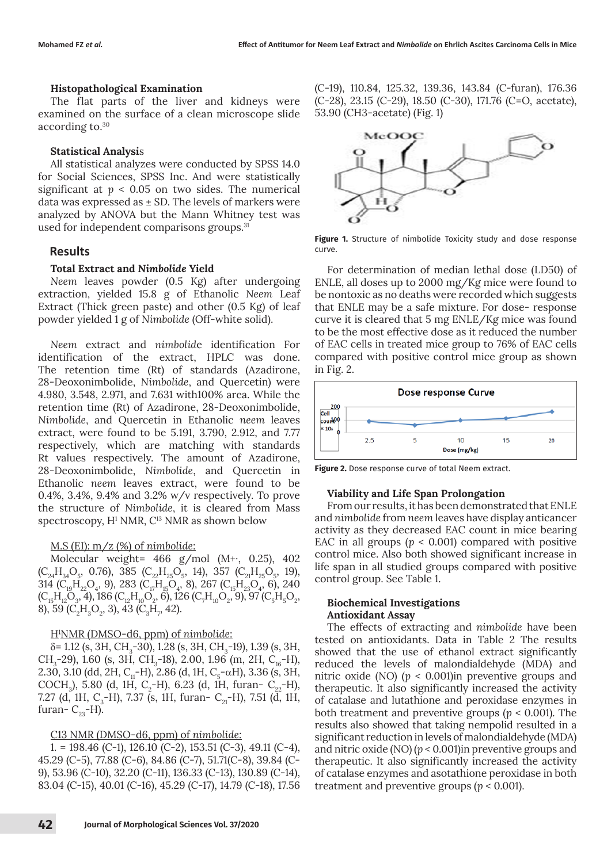# **Histopathological Examination**

The flat parts of the liver and kidneys were examined on the surface of a clean microscope slide according to.30

# **Statistical Analysi**s

All statistical analyzes were conducted by SPSS 14.0 for Social Sciences, SPSS Inc. And were statistically significant at  $p < 0.05$  on two sides. The numerical data was expressed as  $\pm$  SD. The levels of markers were analyzed by ANOVA but the Mann Whitney test was used for independent comparisons groups.<sup>31</sup>

# **Results**

# **Total Extract and** *Nimbolide* **Yield**

*Neem* leaves powder (0.5 Kg) after undergoing extraction, yielded 15.8 g of Ethanolic *Neem* Leaf Extract (Thick green paste) and other (0.5 Kg) of leaf powder yielded 1 g of *Nimbolide* (Off-white solid).

*Neem* extract and *nimbolid*e identification For identification of the extract, HPLC was done. The retention time (Rt) of standards (Azadirone, 28-Deoxonimbolide, *Nimbolide*, and Quercetin) were 4.980, 3.548, 2.971, and 7.631 with100% area. While the retention time (Rt) of Azadirone, 28-Deoxonimbolide, *Nimbolide*, and Quercetin in Ethanolic *neem* leaves extract, were found to be 5.191, 3.790, 2.912, and 7.77 respectively, which are matching with standards Rt values respectively. The amount of Azadirone, 28-Deoxonimbolide, *Nimbolide*, and Quercetin in Ethanolic *neem* leaves extract, were found to be 0.4%, 3.4%, 9.4% and 3.2% w/v respectively. To prove the structure of *Nimbolide*, it is cleared from Mass spectroscopy, H<sup>1</sup> NMR, C<sup>13</sup> NMR as shown below

# M.S (EI): m/z (%) of *nimbolide*:

Molecular weight= 466 g/mol (M+·, 0.25), 402  $(C_{24}H_{34}O_5, 0.76)$ , 385  $(C_{22}H_{25}O_5, 14)$ , 357  $(C_{21}H_{25}O_5, 19)$ , 314 ( $C_{19}H_{22}O_4$ , 9), 283 ( $C_{17}H_{15}O_4$ , 8), 267 ( $C_{15}H_{23}O_4$ , 6), 240  $(C_{15}H_{12}O_3, 4)$ , 186  $(C_{12}H_{10}O_2, 6)$ , 126  $(C_7H_{10}O_2, 9)$ , 97  $(C_5H_5O_2, 6)$ 8), 59 ( $C_2H_3O_2$ , 3), 43 ( $C_3H_7$ , 42).

# H1 NMR (DMSO-d6, ppm) of *nimbolide*:

δ= 1.12 (s, 3H, CH<sub>3</sub>-30), 1.28 (s, 3H, CH<sub>3</sub>-19), 1.39 (s, 3H, CH<sub>3</sub>-29), 1.60 (s, 3H, CH<sub>3</sub>-18), 2.00, 1.96 (m, 2H, C<sub>16</sub>-H), 2.30, 3.10 (dd, 2H, C<sub>1</sub>-H), 2.86 (d, 1H, C<sub>5</sub>- $\alpha$ H), 3.36 (s, 3H, COCH<sub>3</sub>), 5.80 (d, 1H, C<sub>2</sub>-H), 6.23 (d, 1H, furan- C<sub>22</sub>-H), 7.27 (d, 1H, C<sub>3</sub>-H), 7.37 (s, 1H, furan- C<sub>21</sub>-H), 7.51 (d, 1H, furan- $C_{23}$ -H).

# C13 NMR (DMSO-d6, ppm) of *nimbolide:*

1. = 198.46 (C-1), 126.10 (C-2), 153.51 (C-3), 49.11 (C-4), 45.29 (C-5), 77.88 (C-6), 84.86 (C-7), 51.71(C-8), 39.84 (C-9), 53.96 (C-10), 32.20 (C-11), 136.33 (C-13), 130.89 (C-14), 83.04 (C-15), 40.01 (C-16), 45.29 (C-17), 14.79 (C-18), 17.56 (C-19), 110.84, 125.32, 139.36, 143.84 (C-furan), 176.36 (C-28), 23.15 (C-29), 18.50 (C-30), 171.76 (C=O, acetate), 53.90 (CH3-acetate) (Fig. 1)



**Figure 1.** Structure of nimbolide Toxicity study and dose response curve.

For determination of median lethal dose (LD50) of ENLE, all doses up to 2000 mg/Kg mice were found to be nontoxic as no deaths were recorded which suggests that ENLE may be a safe mixture. For dose- response curve it is cleared that 5 mg ENLE/Kg mice was found to be the most effective dose as it reduced the number of EAC cells in treated mice group to 76% of EAC cells compared with positive control mice group as shown in Fig. 2.



**Figure 2.** Dose response curve of total Neem extract.

## **Viability and Life Span Prolongation**

From our results, it has been demonstrated that ENLE and *nimbolide* from *neem* leaves have display anticancer activity as they decreased EAC count in mice bearing EAC in all groups  $(p < 0.001)$  compared with positive control mice. Also both showed significant increase in life span in all studied groups compared with positive control group. See Table 1.

## **Biochemical Investigations Antioxidant Assay**

The effects of extracting and *nimbolide* have been tested on antioxidants. Data in Table 2 The results showed that the use of ethanol extract significantly reduced the levels of malondialdehyde (MDA) and nitric oxide (NO)  $(p < 0.001)$ in preventive groups and therapeutic. It also significantly increased the activity of catalase and lutathione and peroxidase enzymes in both treatment and preventive groups (*p* < 0.001). The results also showed that taking nempolid resulted in a significant reduction in levels of malondialdehyde (MDA) and nitric oxide (NO)  $(p < 0.001)$ in preventive groups and therapeutic. It also significantly increased the activity of catalase enzymes and asotathione peroxidase in both treatment and preventive groups ( $p < 0.001$ ).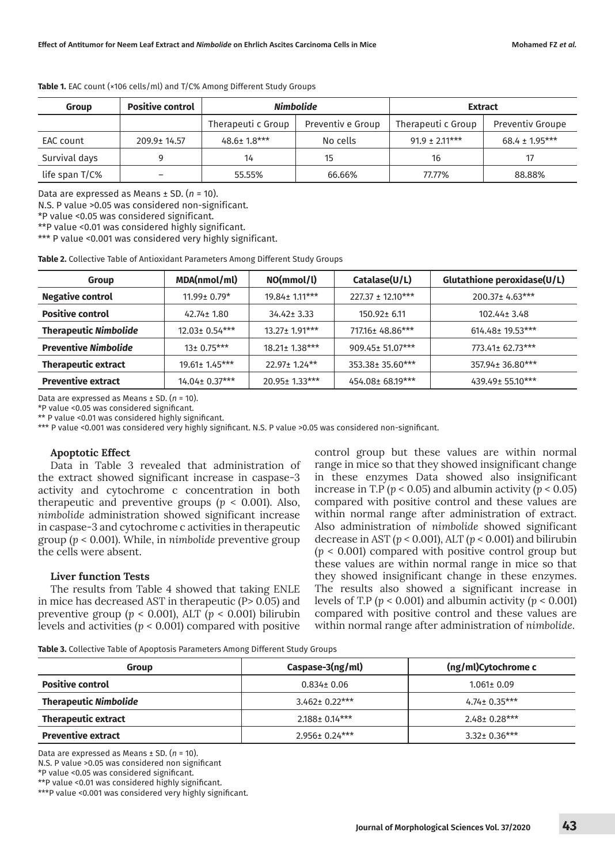| Group          | <b>Positive control</b> | <b>Nimbolide</b>   |                   | <b>Extract</b>     |                         |
|----------------|-------------------------|--------------------|-------------------|--------------------|-------------------------|
|                |                         | Therapeuti c Group | Preventiv e Group | Therapeuti c Group | <b>Preventiv Groupe</b> |
| EAC count      | 209.9± 14.57            | $48.6 \pm 1.8***$  | No cells          | $91.9 + 2.11***$   | $68.4 \pm 1.95***$      |
| Survival days  |                         | 14                 | 15                | 16                 |                         |
| life span T/C% |                         | 55.55%             | 66.66%            | 77.77%             | 88.88%                  |

**Table 1.** EAC count (×106 cells/ml) and T/C% Among Different Study Groups

Data are expressed as Means ± SD. (*n* = 10).

N.S. P value >0.05 was considered non-significant.

\*P value <0.05 was considered significant.

\*\*P value <0.01 was considered highly significant.

\*\*\* P value <0.001 was considered very highly significant.

**Table 2.** Collective Table of Antioxidant Parameters Among Different Study Groups

| Group                        | MDA(nmol/ml)        | NO(mmol/l)          | Catalase(U/L)         | Glutathione peroxidase(U/L) |
|------------------------------|---------------------|---------------------|-----------------------|-----------------------------|
| <b>Negative control</b>      | $11.99 \pm 0.79$ *  | 19.84 ± 1.11***     | $227.37 \pm 12.10***$ | 200.37± 4.63***             |
| <b>Positive control</b>      | $42.74 \pm 1.80$    | $34.42 \pm 3.33$    | $150.92 \pm 6.11$     | 102.44 <sup>±</sup> 3.48    |
| <b>Therapeutic Nimbolide</b> | $12.03 \pm 0.54***$ | 13.27± 1.91***      | 717.16 ± 48.86***     | 614.48± 19.53***            |
| <b>Preventive Nimbolide</b>  | $13 \pm 0.75***$    | 18.21± 1.38***      | 909.45± 51.07***      | 773.41± 62.73***            |
| <b>Therapeutic extract</b>   | $19.61 \pm 1.45***$ | $22.97 \pm 1.24$ ** | 353.38± 35.60***      | 357.94± 36.80***            |
| <b>Preventive extract</b>    | 14.04± 0.37***      | 20.95± 1.33***      | 454.08± 68.19***      | 439.49± 55.10***            |

Data are expressed as Means ± SD. (*n* = 10).

\*P value <0.05 was considered significant.

\*\* P value <0.01 was considered highly significant.

\*\*\* P value <0.001 was considered very highly significant. N.S. P value >0.05 was considered non-significant.

#### **Apoptotic Effect**

Data in Table 3 revealed that administration of the extract showed significant increase in caspase-3 activity and cytochrome c concentration in both therapeutic and preventive groups (*p* < 0.001). Also, *nimbolide* administration showed significant increase in caspase-3 and cytochrome c activities in therapeutic group (*p* < 0.001). While, in *nimbolide* preventive group the cells were absent.

#### **Liver function Tests**

The results from Table 4 showed that taking ENLE in mice has decreased AST in therapeutic (P> 0.05) and preventive group (*p* < 0.001), ALT (*p* < 0.001) bilirubin levels and activities (*p* < 0.001) compared with positive control group but these values are within normal range in mice so that they showed insignificant change in these enzymes Data showed also insignificant increase in T.P ( $p < 0.05$ ) and albumin activity ( $p < 0.05$ ) compared with positive control and these values are within normal range after administration of extract. Also administration of *nimbolide* showed significant decrease in AST ( $p < 0.001$ ), ALT ( $p < 0.001$ ) and bilirubin (*p* < 0.001) compared with positive control group but these values are within normal range in mice so that they showed insignificant change in these enzymes. The results also showed a significant increase in levels of T.P ( $p < 0.001$ ) and albumin activity ( $p < 0.001$ ) compared with positive control and these values are within normal range after administration of *nimbolide*.

**Table 3.** Collective Table of Apoptosis Parameters Among Different Study Groups

| <u>these of companies in the provided in the motion in the set of the companies of the set of the set of the set of the set of the set of the set of the set of the set of the set of the set of the set of the set of the set o</u> |                     |                     |  |
|--------------------------------------------------------------------------------------------------------------------------------------------------------------------------------------------------------------------------------------|---------------------|---------------------|--|
| Group                                                                                                                                                                                                                                | Caspase-3(ng/ml)    | (ng/ml)Cytochrome c |  |
| <b>Positive control</b>                                                                                                                                                                                                              | $0.834 \pm 0.06$    | $1.061 \pm 0.09$    |  |
| <b>Therapeutic Nimbolide</b>                                                                                                                                                                                                         | $3.462 + 0.22***$   | $4.74 \pm 0.35***$  |  |
| <b>Therapeutic extract</b>                                                                                                                                                                                                           | $2.188 \pm 0.14***$ | $2.48 \pm 0.28***$  |  |
| <b>Preventive extract</b>                                                                                                                                                                                                            | 2.956± 0.24***      | $3.32 \pm 0.36***$  |  |

Data are expressed as Means ± SD. (*n* = 10).

N.S. P value >0.05 was considered non significant

\*P value <0.05 was considered significant.

\*\*P value <0.01 was considered highly significant.

\*\*\*P value <0.001 was considered very highly significant.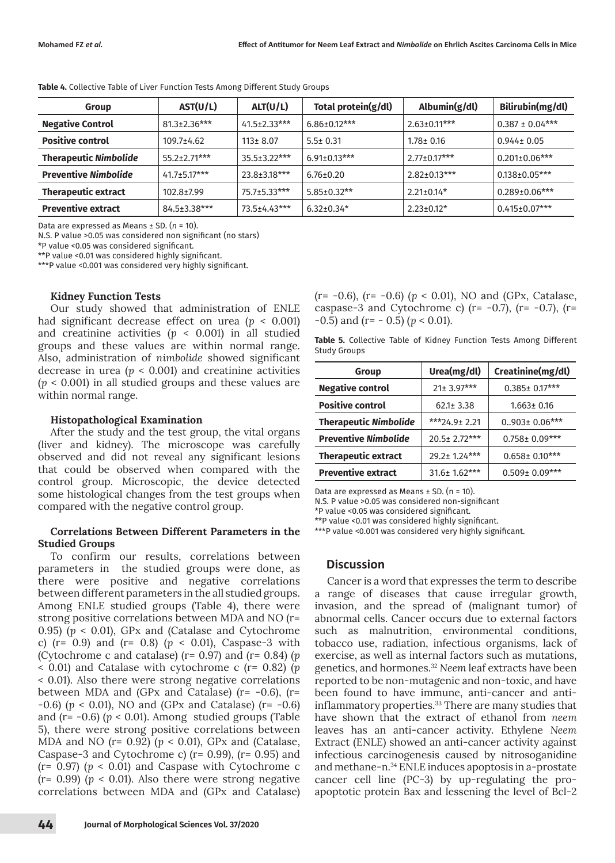| Group                        | AST(U/L)            | ALT(U/L)            | Total protein(g/dl) | Albumin(g/dl)      | Bilirubin(mg/dl)     |
|------------------------------|---------------------|---------------------|---------------------|--------------------|----------------------|
| <b>Negative Control</b>      | $81.3 \pm 2.36$ *** | $41.5 \pm 2.33$ *** | $6.86 \pm 0.12***$  | $2.63 \pm 0.11***$ | $0.387 \pm 0.04***$  |
| <b>Positive control</b>      | $109.7 \pm 4.62$    | $113 \pm 8.07$      | $5.5 \pm 0.31$      | $1.78 \pm 0.16$    | $0.944 \pm 0.05$     |
| <b>Therapeutic Nimbolide</b> | $55.2 \pm 2.71***$  | $35.5 \pm 3.22$ *** | $6.91 \pm 0.13$ *** | $2.77 \pm 0.17***$ | $0.201 \pm 0.06$ *** |
| <b>Preventive Nimbolide</b>  | $41.7 + 5.17***$    | $23.8 \pm 3.18***$  | $6.76 \pm 0.20$     | $2.82 \pm 0.13***$ | $0.138 \pm 0.05***$  |
| <b>Therapeutic extract</b>   | 102.8±7.99          | 75.7±5.33***        | $5.85 \pm 0.32**$   | $2.21 \pm 0.14$ *  | 0.289±0.06***        |
| <b>Preventive extract</b>    | 84.5±3.38***        | 73.5±4.43***        | $6.32 \pm 0.34*$    | $2.23 \pm 0.12^*$  | $0.415 \pm 0.07$ *** |

**Table 4.** Collective Table of Liver Function Tests Among Different Study Groups

Data are expressed as Means ± SD. (*n* = 10).

N.S. P value >0.05 was considered non significant (no stars)

\*P value <0.05 was considered significant.

\*\*P value <0.01 was considered highly significant.

\*\*\*P value <0.001 was considered very highly significant.

#### **Kidney Function Tests**

Our study showed that administration of ENLE had significant decrease effect on urea (*p* < 0.001) and creatinine activities  $(p < 0.001)$  in all studied groups and these values are within normal range. Also, administration of *nimbolide* showed significant decrease in urea  $(p < 0.001)$  and creatinine activities (*p* < 0.001) in all studied groups and these values are within normal range.

#### **Histopathological Examination**

After the study and the test group, the vital organs (liver and kidney). The microscope was carefully observed and did not reveal any significant lesions that could be observed when compared with the control group. Microscopic, the device detected some histological changes from the test groups when compared with the negative control group.

# **Correlations Between Different Parameters in the Studied Groups**

To confirm our results, correlations between parameters in the studied groups were done, as there were positive and negative correlations between different parameters in the all studied groups. Among ENLE studied groups (Table 4), there were strong positive correlations between MDA and NO (r= 0.95) (*p* < 0.01), GPx and (Catalase and Cytochrome c) (r= 0.9) and (r= 0.8) (*p* < 0.01), Caspase-3 with (Cytochrome c and catalase) (r= 0.97) and (r= 0.84) (*p* < 0.01) and Catalase with cytochrome c (r= 0.82) (*p* < 0.01). Also there were strong negative correlations between MDA and (GPx and Catalase) ( $r = -0.6$ ), ( $r =$  $-0.6$ ) ( $p < 0.01$ ), NO and (GPx and Catalase) ( $r = -0.6$ ) and  $(r = -0.6)$   $(p < 0.01)$ . Among studied groups (Table 5), there were strong positive correlations between MDA and NO (r= 0.92) (*p* < 0.01), GPx and (Catalase, Caspase-3 and Cytochrome c) (r= 0.99), (r= 0.95) and  $(r= 0.97)$  ( $p < 0.01$ ) and Caspase with Cytochrome c  $(r= 0.99)$  ( $p < 0.01$ ). Also there were strong negative correlations between MDA and (GPx and Catalase) (r= -0.6), (r= -0.6) (*p* < 0.01), NO and (GPx, Catalase, caspase-3 and Cytochrome c) ( $r = -0.7$ ), ( $r = -0.7$ ), ( $r =$ -0.5) and (r= - 0.5) (*p* < 0.01).

**Table 5.** Collective Table of Kidney Function Tests Among Different Study Groups

| Group                        | Urea(mg/dl)         | Creatinine(mg/dl)    |  |
|------------------------------|---------------------|----------------------|--|
| <b>Negative control</b>      | 21± 3.97***         | $0.385 \pm 0.17***$  |  |
| <b>Positive control</b>      | $62.1 \pm 3.38$     | $1.663 \pm 0.16$     |  |
| <b>Therapeutic Nimbolide</b> | $***24.9 \pm 2.21$  | $0.903 \pm 0.06$ *** |  |
| <b>Preventive Nimbolide</b>  | $20.5 \pm 2.72***$  | $0.758 \pm 0.09***$  |  |
| <b>Therapeutic extract</b>   | 29.2± 1.24***       | $0.658 \pm 0.10***$  |  |
| <b>Preventive extract</b>    | $31.6 \pm 1.62$ *** | $0.509 \pm 0.09$ *** |  |

Data are expressed as Means  $\pm$  SD. (n = 10).

N.S. P value >0.05 was considered non-significant

\*P value <0.05 was considered significant.

\*\*P value <0.01 was considered highly significant.

\*\*\*P value <0.001 was considered very highly significant.

# **Discussion**

Cancer is a word that expresses the term to describe a range of diseases that cause irregular growth, invasion, and the spread of (malignant tumor) of abnormal cells. Cancer occurs due to external factors such as malnutrition, environmental conditions, tobacco use, radiation, infectious organisms, lack of exercise, as well as internal factors such as mutations, genetics, and hormones.32 *Neem* leaf extracts have been reported to be non-mutagenic and non-toxic, and have been found to have immune, anti-cancer and antiinflammatory properties.33 There are many studies that have shown that the extract of ethanol from *neem* leaves has an anti-cancer activity. Ethylene *Neem* Extract (ENLE) showed an anti-cancer activity against infectious carcinogenesis caused by nitrosoganidine and methane-n.34 ENLE induces apoptosis in a-prostate cancer cell line (PC-3) by up-regulating the proapoptotic protein Bax and lessening the level of Bcl-2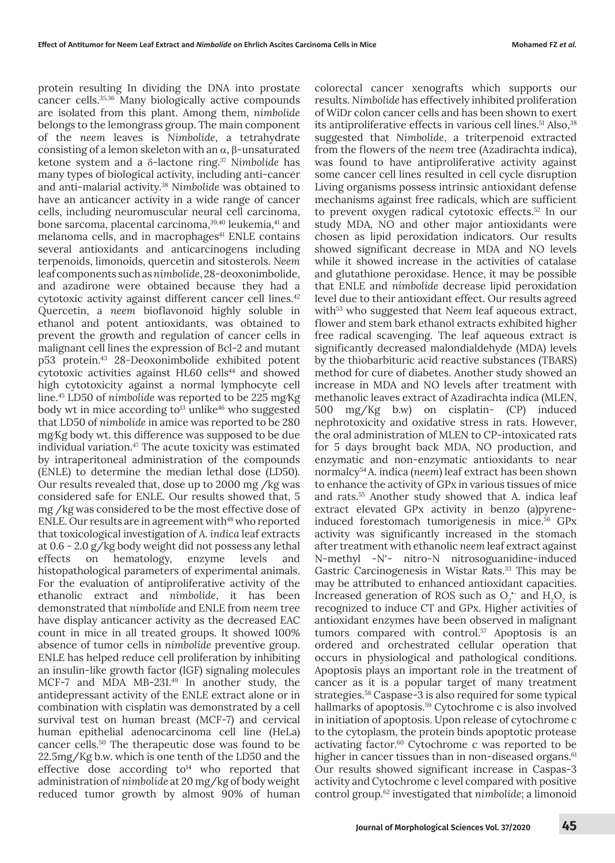protein resulting In dividing the DNA into prostate cancer cells.35,36 Many biologically active compounds are isolated from this plant. Among them, *nimbolide* belongs to the lemongrass group. The main component of the *neem* leaves is *Nimbolide*, a tetrahydrate consisting of a lemon skeleton with an α, β-unsaturated ketone system and a δ-lactone ring.37 *Nimbolide* has many types of biological activity, including anti-cancer and anti-malarial activity.38 *Nimbolide* was obtained to have an anticancer activity in a wide range of cancer cells, including neuromuscular neural cell carcinoma, bone sarcoma, placental carcinoma,<sup>39,40</sup> leukemia,<sup>41</sup> and melanoma cells, and in macrophages<sup>41</sup> ENLE contains several antioxidants and anticarcinogens including terpenoids, limonoids, quercetin and sitosterols. *Neem* leaf components such as *nimbolide*, 28-deoxonimbolide, and azadirone were obtained because they had a cytotoxic activity against different cancer cell lines.<sup>42</sup> Quercetin, a *neem* bioflavonoid highly soluble in ethanol and potent antioxidants, was obtained to prevent the growth and regulation of cancer cells in malignant cell lines the expression of Bcl-2 and mutant p53 protein.43 28-Deoxonimbolide exhibited potent cytotoxic activities against  $HL60$  cells<sup>44</sup> and showed high cytotoxicity against a normal lymphocyte cell line.45 LD50 of *nimbolide* was reported to be 225 mg⁄Kg body wt in mice according to $13$  unlike<sup>46</sup> who suggested that LD50 of *nimbolide* in amice was reported to be 280 mg⁄Kg body wt. this difference was supposed to be due individual variation.<sup>47</sup> The acute toxicity was estimated by intraperitoneal administration of the compounds (ENLE) to determine the median lethal dose (LD50). Our results revealed that, dose up to 2000 mg /kg was considered safe for ENLE. Our results showed that, 5 mg /kg was considered to be the most effective dose of ENLE. Our results are in agreement with<sup>48</sup> who reported that toxicological investigation of *A. indica* leaf extracts at 0.6 - 2.0 g/kg body weight did not possess any lethal effects on hematology, enzyme levels and histopathological parameters of experimental animals. For the evaluation of antiproliferative activity of the ethanolic extract and *nimbolide*, it has been demonstrated that *nimbolide* and ENLE from *neem* tree have display anticancer activity as the decreased EAC count in mice in all treated groups. It showed 100% absence of tumor cells in *nimbolide* preventive group. ENLE has helped reduce cell proliferation by inhibiting an insulin-like growth factor (IGF) signaling molecules MCF-7 and MDA MB-231.49 In another study, the antidepressant activity of the ENLE extract alone or in combination with cisplatin was demonstrated by a cell survival test on human breast (MCF-7) and cervical human epithelial adenocarcinoma cell line (HeLa) cancer cells.50 The therapeutic dose was found to be 22.5mg/Kg b.w. which is one tenth of the LD50 and the effective dose according  $\mathsf{to}^{\scriptscriptstyle 14}$  who reported that administration of *nimbolide* at 20 mg/kg of body weight reduced tumor growth by almost 90% of human

colorectal cancer xenografts which supports our results. *Nimbolide* has effectively inhibited proliferation of WiDr colon cancer cells and has been shown to exert its antiproliferative effects in various cell lines.<sup>51</sup> Also,<sup>38</sup> suggested that *Nimbolide*, a triterpenoid extracted from the flowers of the *neem* tree (Azadirachta indica), was found to have antiproliferative activity against some cancer cell lines resulted in cell cycle disruption Living organisms possess intrinsic antioxidant defense mechanisms against free radicals, which are sufficient to prevent oxygen radical cytotoxic effects.52 In our study MDA, NO and other major antioxidants were chosen as lipid peroxidation indicators. Our results showed significant decrease in MDA and NO levels while it showed increase in the activities of catalase and glutathione peroxidase. Hence, it may be possible that ENLE and *nimbolide* decrease lipid peroxidation level due to their antioxidant effect. Our results agreed with<sup>53</sup> who suggested that *Neem* leaf aqueous extract, flower and stem bark ethanol extracts exhibited higher free radical scavenging. The leaf aqueous extract is significantly decreased malondialdehyde (MDA) levels by the thiobarbituric acid reactive substances (TBARS) method for cure of diabetes. Another study showed an increase in MDA and NO levels after treatment with methanolic leaves extract of Azadirachta indica (MLEN, 500 mg/Kg b.w) on cisplatin- (CP) induced nephrotoxicity and oxidative stress in rats. However, the oral administration of MLEN to CP-intoxicated rats for 5 days brought back MDA, NO production, and enzymatic and non-enzymatic antioxidants to near normalcy54 . A. indica (*neem*) leaf extract has been shown to enhance the activity of GPx in various tissues of mice and rats.55 Another study showed that A. indica leaf extract elevated GPx activity in benzo (a)pyreneinduced forestomach tumorigenesis in mice.<sup>56</sup> GPx activity was significantly increased in the stomach after treatment with ethanolic *neem* leaf extract against N-methyl -N′- nitro-N nitrosoguanidine-induced Gastric Carcinogenesis in Wistar Rats.<sup>33</sup> This may be may be attributed to enhanced antioxidant capacities. Increased generation of ROS such as  $O_2$ <sup>-</sup> and  $H_2O_2$  is recognized to induce CT and GPx. Higher activities of antioxidant enzymes have been observed in malignant tumors compared with control.<sup>57</sup> Apoptosis is an ordered and orchestrated cellular operation that occurs in physiological and pathological conditions. Apoptosis plays an important role in the treatment of cancer as it is a popular target of many treatment strategies.58 Caspase-3 is also required for some typical hallmarks of apoptosis.<sup>59</sup> Cytochrome c is also involved in initiation of apoptosis. Upon release of cytochrome c to the cytoplasm, the protein binds apoptotic protease activating factor.60 Cytochrome c was reported to be higher in cancer tissues than in non-diseased organs.<sup>61</sup> Our results showed significant increase in Caspas-3 activity and Cytochrome c level compared with positive control group.62 investigated that *nimbolide*; a limonoid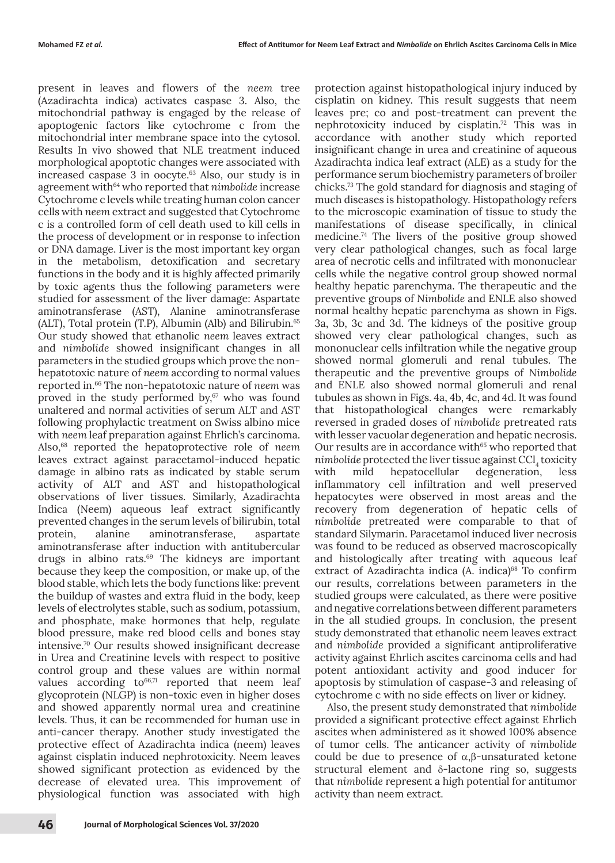present in leaves and flowers of the *neem* tree (Azadirachta indica) activates caspase 3. Also, the mitochondrial pathway is engaged by the release of apoptogenic factors like cytochrome c from the mitochondrial inter membrane space into the cytosol. Results In vivo showed that NLE treatment induced morphological apoptotic changes were associated with increased caspase  $3$  in oocyte.<sup>63</sup> Also, our study is in agreement with<sup>64</sup> who reported that *nimbolide* increase Cytochrome c levels while treating human colon cancer cells with *neem* extract and suggested that Cytochrome c is a controlled form of cell death used to kill cells in the process of development or in response to infection or DNA damage. Liver is the most important key organ in the metabolism, detoxification and secretary functions in the body and it is highly affected primarily by toxic agents thus the following parameters were studied for assessment of the liver damage: Aspartate aminotransferase (AST), Alanine aminotransferase (ALT), Total protein (T.P), Albumin (Alb) and Bilirubin.65 Our study showed that ethanolic *neem* leaves extract and *nimbolide* showed insignificant changes in all parameters in the studied groups which prove the nonhepatotoxic nature of *neem* according to normal values reported in.66 The non-hepatotoxic nature of *neem* was proved in the study performed by, $67$  who was found unaltered and normal activities of serum ALT and AST following prophylactic treatment on Swiss albino mice with *neem* leaf preparation against Ehrlich's carcinoma. Also,68 reported the hepatoprotective role of *neem* leaves extract against paracetamol-induced hepatic damage in albino rats as indicated by stable serum activity of ALT and AST and histopathological observations of liver tissues. Similarly, Azadirachta Indica (Neem) aqueous leaf extract significantly prevented changes in the serum levels of bilirubin, total protein, alanine aminotransferase, aspartate aminotransferase after induction with antitubercular drugs in albino rats.69 The kidneys are important because they keep the composition, or make up, of the blood stable, which lets the body functions like: prevent the buildup of wastes and extra fluid in the body, keep levels of electrolytes stable, such as sodium, potassium, and phosphate, make hormones that help, regulate blood pressure, make red blood cells and bones stay intensive.70 Our results showed insignificant decrease in Urea and Creatinine levels with respect to positive control group and these values are within normal values according to<sup>66,71</sup> reported that neem leaf glycoprotein (NLGP) is non-toxic even in higher doses and showed apparently normal urea and creatinine levels. Thus, it can be recommended for human use in anti-cancer therapy. Another study investigated the protective effect of Azadirachta indica (neem) leaves against cisplatin induced nephrotoxicity. Neem leaves showed significant protection as evidenced by the decrease of elevated urea. This improvement of physiological function was associated with high

protection against histopathological injury induced by cisplatin on kidney. This result suggests that neem leaves pre; co and post-treatment can prevent the nephrotoxicity induced by cisplatin.72 This was in accordance with another study which reported insignificant change in urea and creatinine of aqueous Azadirachta indica leaf extract (ALE) as a study for the performance serum biochemistry parameters of broiler chicks.73 The gold standard for diagnosis and staging of much diseases is histopathology. Histopathology refers to the microscopic examination of tissue to study the manifestations of disease specifically, in clinical medicine.74 The livers of the positive group showed very clear pathological changes, such as focal large area of necrotic cells and infiltrated with mononuclear cells while the negative control group showed normal healthy hepatic parenchyma. The therapeutic and the preventive groups of *Nimbolide* and ENLE also showed normal healthy hepatic parenchyma as shown in Figs. 3a, 3b, 3c and 3d. The kidneys of the positive group showed very clear pathological changes, such as mononuclear cells infiltration while the negative group showed normal glomeruli and renal tubules. The therapeutic and the preventive groups of *Nimbolide* and ENLE also showed normal glomeruli and renal tubules as shown in Figs. 4a, 4b, 4c, and 4d. It was found that histopathological changes were remarkably reversed in graded doses of *nimbolide* pretreated rats with lesser vacuolar degeneration and hepatic necrosis. Our results are in accordance with<sup>65</sup> who reported that nimbolide protected the liver tissue against CCl<sub>4</sub> toxicity with mild hepatocellular degeneration, less inflammatory cell infiltration and well preserved hepatocytes were observed in most areas and the recovery from degeneration of hepatic cells of *nimbolide* pretreated were comparable to that of standard Silymarin. Paracetamol induced liver necrosis was found to be reduced as observed macroscopically and histologically after treating with aqueous leaf extract of Azadirachta indica (A. indica)<sup>68</sup> To confirm our results, correlations between parameters in the studied groups were calculated, as there were positive and negative correlations between different parameters in the all studied groups. In conclusion, the present study demonstrated that ethanolic neem leaves extract and *nimbolide* provided a significant antiproliferative activity against Ehrlich ascites carcinoma cells and had potent antioxidant activity and good inducer for apoptosis by stimulation of caspase-3 and releasing of cytochrome c with no side effects on liver or kidney.

Also, the present study demonstrated that *nimbolide* provided a significant protective effect against Ehrlich ascites when administered as it showed 100% absence of tumor cells. The anticancer activity of *nimbolide* could be due to presence of α,β-unsaturated ketone structural element and δ-lactone ring so, suggests that *nimbolide* represent a high potential for antitumor activity than neem extract.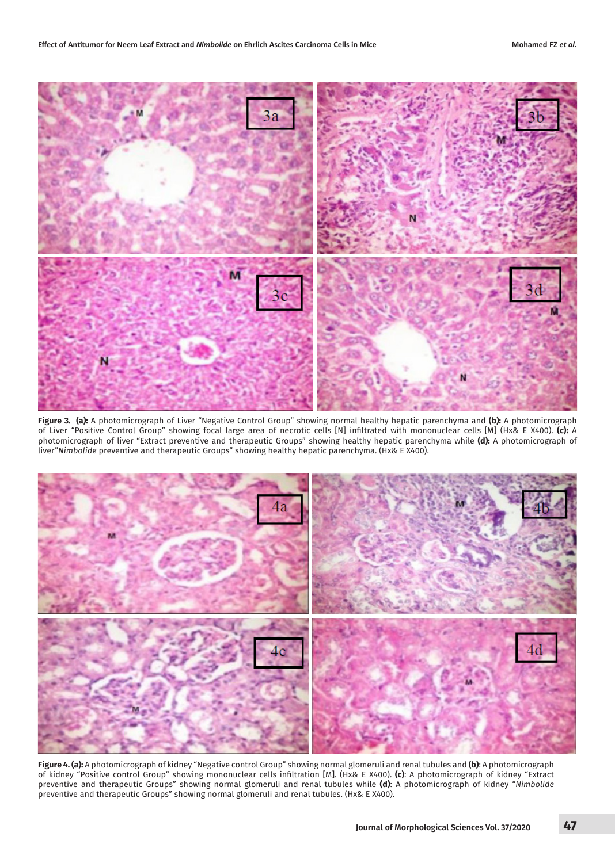

**Figure 3. (a):** A photomicrograph of Liver "Negative Control Group" showing normal healthy hepatic parenchyma and **(b):** A photomicrograph of Liver "Positive Control Group" showing focal large area of necrotic cells [N] infiltrated with mononuclear cells [M] (Hx& E X400). **(c):** A photomicrograph of liver "Extract preventive and therapeutic Groups" showing healthy hepatic parenchyma while **(d):** A photomicrograph of liver"*Nimbolide* preventive and therapeutic Groups" showing healthy hepatic parenchyma. (Hx& E X400).



**Figure 4. (a):** A photomicrograph of kidney "Negative control Group" showing normal glomeruli and renal tubules and **(b)**: A photomicrograph of kidney "Positive control Group" showing mononuclear cells infiltration [M]. (Hx& E X400). **(c)**: A photomicrograph of kidney "Extract preventive and therapeutic Groups" showing normal glomeruli and renal tubules while **(d)**: A photomicrograph of kidney "*Nimbolide* preventive and therapeutic Groups" showing normal glomeruli and renal tubules. (Hx& E X400).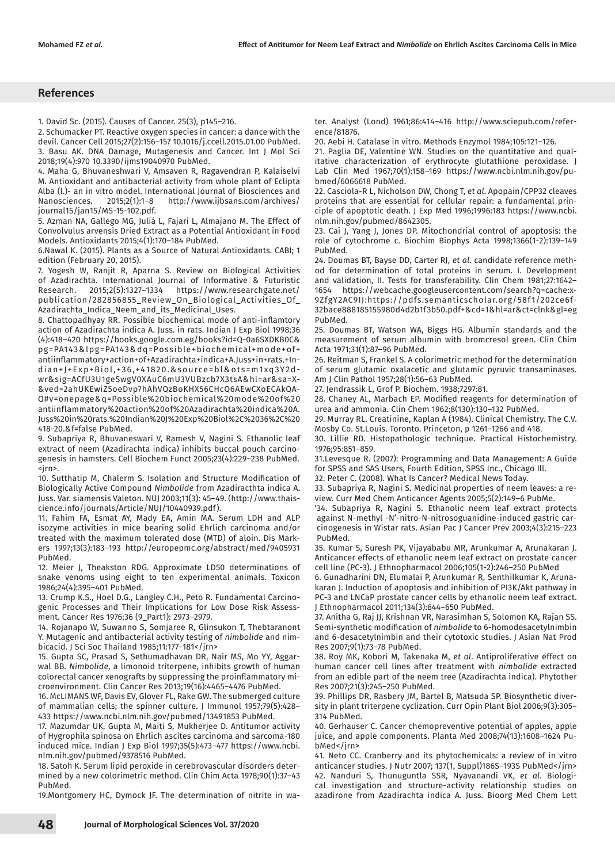# **References**

1. David Sc. (2015). Causes of Cancer. 25(3), p145–216.

2. Schumacker PT. Reactive oxygen species in cancer: a dance with the devil. Cancer Cell 2015;27(2):156–157 10.1016/j.ccell.2015.01.00 PubMed. 3. Basu AK. DNA Damage, Mutagenesis and Cancer. Int J Mol Sci 2018;19(4):970 10.3390/ijms19040970 PubMed.

4. Maha G, Bhuvaneshwari V, Amsaven R, Ragavendran P, Kalaiselvi M. Antioxidant and antibacterial activity from whole plant of Eclipta Alba (l.)- an in vitro model. International Journal of Biosciences and Nanosciences. 2015;2(1):1-8 http://www.ijbsans.com/archives/ http://www.ijbsans.com/archives/ journal15/jan15/MS-15-102.pdf.

5. Azman NA, Gallego MG, Juliá L, Fajari L, Almajano M. The Effect of Convolvulus arvensis Dried Extract as a Potential Antioxidant in Food Models. Antioxidants 2015;4(1):170–184 PubMed.

6.Nawal K. (2015). Plants as a Source of Natural Antioxidants. CABI; 1 edition (February 20, 2015).

7. Yogesh W, Ranjit R, Aparna S. Review on Biological Activities of Azadirachta. International Journal of Informative & Futuristic Research. 2015;2(5):1327–1334 https://www.researchgate.net/ publication/282856855\_Review\_On\_Biological\_Activities\_Of\_ Azadirachta\_Indica\_Neem\_and\_its\_Medicinal\_Uses.

8. Chattopadhyay RR. Possible biochemical mode of anti-inflamtory action of Azadirachta indica A. Juss. in rats. Indian J Exp Biol 1998;36 (4):418–420 https://books.google.com.eg/books?id=Q-0a6SXDKB0C& pg=PA143&lpg=PA143&dq=Possible+biochemical+mode+of+ antiinflammatory+action+of+Azadirachta+indica+A.Juss+in+rats.+Indian+J+Exp+Biol,+36,+41820.&source=bl&ots=m1xq3Y2dwr&sig=ACfU3U1geSwgV0XAuC6mU3VUBzcb7X3tsA&hl=ar&sa=X- &ved=2ahUKEwiZ5oeDvp7hAhVQzBoKHX56CHcQ6AEwCXoECAkQA-Q#v=onepage&q=Possible%20biochemical%20mode%20of%20 antiinflammatory%20action%20of%20Azadirachta%20indica%20A. Juss%20in%20rats.%20Indian%20J%20Exp%20Biol%2C%2036%2C%20 418-20.&f=false PubMed.

9. Subapriya R, Bhuvaneswari V, Ramesh V, Nagini S. Ethanolic leaf extract of neem (Azadirachta indica) inhibits buccal pouch carcinogenesis in hamsters. Cell Biochem Funct 2005;23(4):229–238 PubMed. <jrn>.

10. Sutthatip M, Chalerm S. Isolation and Structure Modification of Biologically Active Compound *Nimbolide* from Azadiracthta indica A. Juss. Var. siamensis Valeton. NUJ 2003;11(3): 45–49. (http://www.thaiscience.info/journals/Article/NUJ/10440939.pdf).

11. Fahim FA, Esmat AY, Mady EA, Amin MA. Serum LDH and ALP isozyme activities in mice bearing solid Ehrlich carcinoma and/or treated with the maximum tolerated dose (MTD) of aloin. Dis Markers 1997;13(3):183–193 http://europepmc.org/abstract/med/9405931 PubMed.

12. Meier J, Theakston RDG. Approximate LD50 determinations of snake venoms using eight to ten experimental animals. Toxicon 1986;24(4):395–401 PubMed.

13. Crump K.S., Hoel D.G., Langley C.H., Peto R. Fundamental Carcinogenic Processes and Their Implications for Low Dose Risk Assessment. Cancer Res 1976;36 (9\_Part1): 2973–2979.

14. Rojanapo W, Suwanno S, Somjaree R, Glinsukon T, Thebtaranont Y. Mutagenic and antibacterial activity testing of *nimbolide* and nimbicacid. J Sci Soc Thailand 1985;11:177–181</jrn>

15. Gupta SC, Prasad S, Sethumadhavan DR, Nair MS, Mo YY, Aggarwal BB. *Nimbolide*, a limonoid triterpene, inhibits growth of human colorectal cancer xenografts by suppressing the proinflammatory microenvironment. Clin Cancer Res 2013;19(16):4465–4476 PubMed.

16. McLIMANS WF, Davis EV, Glover FL, Rake GW. The submerged culture of mammalian cells; the spinner culture. J Immunol 1957;79(5):428– 433 https://www.ncbi.nlm.nih.gov/pubmed/13491853 PubMed.

17. Mazumdar UK, Gupta M, Maiti S, Mukherjee D. Antitumor activity of Hygrophila spinosa on Ehrlich ascites carcinoma and sarcoma-180 induced mice. Indian J Exp Biol 1997;35(5):473–477 https://www.ncbi. nlm.nih.gov/pubmed/9378516 PubMed.

18. Satoh K. Serum lipid peroxide in cerebrovascular disorders determined by a new colorimetric method. Clin Chim Acta 1978;90(1):37–43 PubMed.

19.Montgomery HC, Dymock JF. The determination of nitrite in wa-

ter. Analyst (Lond) 1961;86:414–416 http://www.sciepub.com/reference/81876.

20. Aebi H. Catalase in vitro. Methods Enzymol 1984;105:121–126.

21. Paglia DE, Valentine WN. Studies on the quantitative and qualitative characterization of erythrocyte glutathione peroxidase. J Lab Clin Med 1967;70(1):158–169 https://www.ncbi.nlm.nih.gov/pubmed/6066618 PubMed.

22. Casciola-R L, Nicholson DW, Chong T, *et al*. Apopain/CPP32 cleaves proteins that are essential for cellular repair: a fundamental principle of apoptotic death. J Exp Med 1996;1996:183 https://www.ncbi. nlm.nih.gov/pubmed/8642305.

23. Cai J, Yang J, Jones DP. Mitochondrial control of apoptosis: the role of cytochrome c. Biochim Biophys Acta 1998;1366(1-2):139–149 PubMed.

24. Doumas BT, Bayse DD, Carter RJ, *et al*. candidate reference method for determination of total proteins in serum. I. Development and validation, II. Tests for transferability. Clin Chem 1981;27:1642– 1654 https://webcache.googleusercontent.com/search?q=cache:x-9ZfgY2AC9IJ:https://pdfs.semanticscholar.org/58f1/202ce6f-32bace888185155980d4d2b1f3b50.pdf+&cd=1&hl=ar&ct=clnk&gl=eg PubMed.

25. Doumas BT, Watson WA, Biggs HG. Albumin standards and the measurement of serum albumin with bromcresol green. Clin Chim Acta 1971;31(1):87–96 PubMed.

26. Reitman S, Frankel S. A colorimetric method for the determination of serum glutamic oxalacetic and glutamic pyruvic transaminases. Am J Clin Pathol 1957;28(1):56–63 PubMed.

27. Jendrassik L, Grof P. Biochem. 1938;7297:81.

28. Chaney AL, Marbach EP. Modified reagents for determination of urea and ammonia. Clin Chem 1962;8(130):130–132 PubMed.

29. Murray RL. Creatinine, Kaplan A (1984). Clinical Chemistry. The C.V. Mosby Co. St.Louis. Toronto. Princeton, p 1261–1266 and 418.

30. Lillie RD. Histopathologic technique. Practical Histochemistry. 1976;95:851–859.

31.Levesque R. (2007): Programming and Data Management: A Guide for SPSS and SAS Users, Fourth Edition, SPSS Inc., Chicago Ill.

32. Peter C. (2008). What Is Cancer? Medical News Today.

33. Subapriya R, Nagini S. Medicinal properties of neem leaves: a review. Curr Med Chem Anticancer Agents 2005;5(2):149–6 PubMe.

'34. Subapriya R, Nagini S. Ethanolic neem leaf extract protects against N-methyl -N'-nitro-N-nitrosoguanidine-induced gastric carcinogenesis in Wistar rats. Asian Pac J Cancer Prev 2003;4(3):215–223 PubMed.

35. Kumar S, Suresh PK, Vijayababu MR, Arunkumar A, Arunakaran J. Anticancer effects of ethanolic neem leaf extract on prostate cancer cell line (PC-3). J Ethnopharmacol 2006;105(1-2):246–250 PubMed

6. Gunadharini DN, Elumalai P, Arunkumar R, Senthilkumar K, Arunakaran J. Induction of apoptosis and inhibition of PI3K/Akt pathway in PC-3 and LNCaP prostate cancer cells by ethanolic neem leaf extract. J Ethnopharmacol 2011;134(3):644–650 PubMed.

37. Anitha G, Raj JJ, Krishnan VR, Narasimhan S, Solomon KA, Rajan SS. Semi-synthetic modification of *nimbolide* to 6-homodesacetylnimbin and 6-desacetylnimbin and their cytotoxic studies. J Asian Nat Prod Res 2007;9(1):73–78 PubMed.

38. Roy MK, Kobori M, Takenaka M, *et al*. Antiproliferative effect on human cancer cell lines after treatment with *nimbolide* extracted from an edible part of the neem tree (Azadirachta indica). Phytother Res 2007;21(3):245–250 PubMed.

39. Phillips DR, Rasbery JM, Bartel B, Matsuda SP. Biosynthetic diversity in plant triterpene cyclization. Curr Opin Plant Biol 2006;9(3):305– 314 PubMed.

40. Gerhauser C. Cancer chemopreventive potential of apples, apple juice, and apple components. Planta Med 2008;74(13):1608–1624 PubMed</jrn>

41. Neto CC. Cranberry and its phytochemicals: a review of in vitro anticancer studies. J Nutr 2007; 137(1, Suppl)186S–193S PubMed</jrn> 42. Nanduri S, Thunuguntla SSR, Nyavanandi VK, *et al*. Biological investigation and structure-activity relationship studies on azadirone from Azadirachta indica A. Juss. Bioorg Med Chem Lett